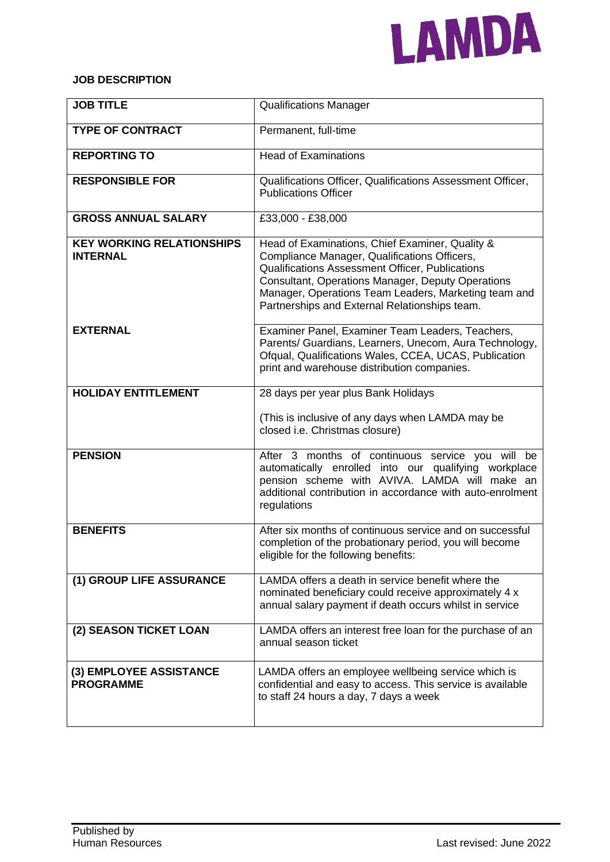

## **JOB DESCRIPTION**

| <b>JOB TITLE</b>                                    | <b>Qualifications Manager</b>                                                                                                                                                                                                                                                                                           |
|-----------------------------------------------------|-------------------------------------------------------------------------------------------------------------------------------------------------------------------------------------------------------------------------------------------------------------------------------------------------------------------------|
| <b>TYPE OF CONTRACT</b>                             | Permanent, full-time                                                                                                                                                                                                                                                                                                    |
| <b>REPORTING TO</b>                                 | <b>Head of Examinations</b>                                                                                                                                                                                                                                                                                             |
| <b>RESPONSIBLE FOR</b>                              | Qualifications Officer, Qualifications Assessment Officer,<br><b>Publications Officer</b>                                                                                                                                                                                                                               |
| <b>GROSS ANNUAL SALARY</b>                          | £33,000 - £38,000                                                                                                                                                                                                                                                                                                       |
| <b>KEY WORKING RELATIONSHIPS</b><br><b>INTERNAL</b> | Head of Examinations, Chief Examiner, Quality &<br>Compliance Manager, Qualifications Officers,<br>Qualifications Assessment Officer, Publications<br><b>Consultant, Operations Manager, Deputy Operations</b><br>Manager, Operations Team Leaders, Marketing team and<br>Partnerships and External Relationships team. |
| <b>EXTERNAL</b>                                     | Examiner Panel, Examiner Team Leaders, Teachers,<br>Parents/ Guardians, Learners, Unecom, Aura Technology,<br>Ofqual, Qualifications Wales, CCEA, UCAS, Publication<br>print and warehouse distribution companies.                                                                                                      |
| <b>HOLIDAY ENTITLEMENT</b>                          | 28 days per year plus Bank Holidays                                                                                                                                                                                                                                                                                     |
|                                                     | (This is inclusive of any days when LAMDA may be<br>closed i.e. Christmas closure)                                                                                                                                                                                                                                      |
| <b>PENSION</b>                                      | After 3 months of continuous service you will be<br>automatically enrolled into our qualifying workplace<br>pension scheme with AVIVA. LAMDA will make an<br>additional contribution in accordance with auto-enrolment<br>regulations                                                                                   |
| <b>BENEFITS</b>                                     | After six months of continuous service and on successful<br>completion of the probationary period, you will become<br>eligible for the following benefits:                                                                                                                                                              |
| (1) GROUP LIFE ASSURANCE                            | LAMDA offers a death in service benefit where the<br>nominated beneficiary could receive approximately 4 x<br>annual salary payment if death occurs whilst in service                                                                                                                                                   |
| (2) SEASON TICKET LOAN                              | LAMDA offers an interest free loan for the purchase of an<br>annual season ticket                                                                                                                                                                                                                                       |
| (3) EMPLOYEE ASSISTANCE<br><b>PROGRAMME</b>         | LAMDA offers an employee wellbeing service which is<br>confidential and easy to access. This service is available<br>to staff 24 hours a day, 7 days a week                                                                                                                                                             |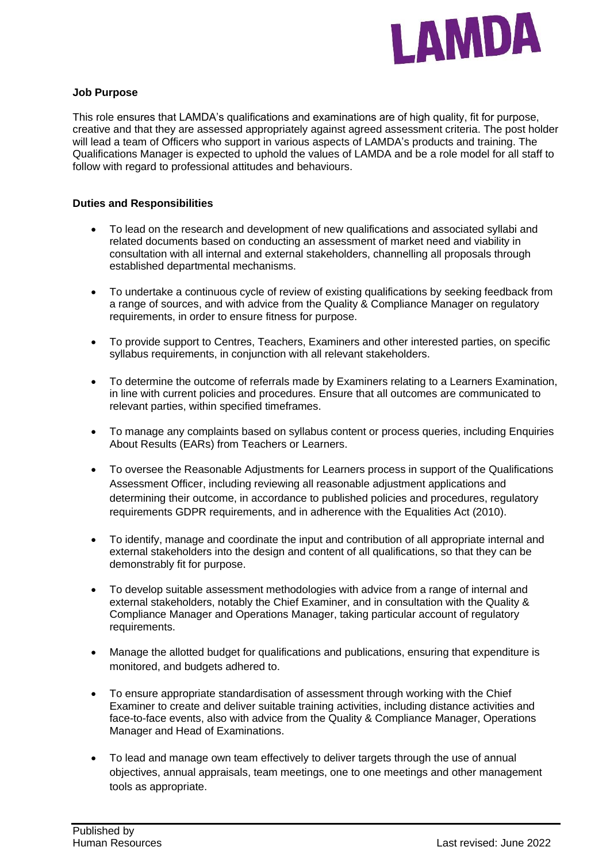

### **Job Purpose**

This role ensures that LAMDA's qualifications and examinations are of high quality, fit for purpose, creative and that they are assessed appropriately against agreed assessment criteria. The post holder will lead a team of Officers who support in various aspects of LAMDA's products and training. The Qualifications Manager is expected to uphold the values of LAMDA and be a role model for all staff to follow with regard to professional attitudes and behaviours.

#### **Duties and Responsibilities**

- To lead on the research and development of new qualifications and associated syllabi and related documents based on conducting an assessment of market need and viability in consultation with all internal and external stakeholders, channelling all proposals through established departmental mechanisms.
- To undertake a continuous cycle of review of existing qualifications by seeking feedback from a range of sources, and with advice from the Quality & Compliance Manager on regulatory requirements, in order to ensure fitness for purpose.
- To provide support to Centres, Teachers, Examiners and other interested parties, on specific syllabus requirements, in conjunction with all relevant stakeholders.
- To determine the outcome of referrals made by Examiners relating to a Learners Examination, in line with current policies and procedures. Ensure that all outcomes are communicated to relevant parties, within specified timeframes.
- To manage any complaints based on syllabus content or process queries, including Enquiries About Results (EARs) from Teachers or Learners.
- To oversee the Reasonable Adjustments for Learners process in support of the Qualifications Assessment Officer, including reviewing all reasonable adjustment applications and determining their outcome, in accordance to published policies and procedures, regulatory requirements GDPR requirements, and in adherence with the Equalities Act (2010).
- To identify, manage and coordinate the input and contribution of all appropriate internal and external stakeholders into the design and content of all qualifications, so that they can be demonstrably fit for purpose.
- To develop suitable assessment methodologies with advice from a range of internal and external stakeholders, notably the Chief Examiner, and in consultation with the Quality & Compliance Manager and Operations Manager, taking particular account of regulatory requirements.
- Manage the allotted budget for qualifications and publications, ensuring that expenditure is monitored, and budgets adhered to.
- To ensure appropriate standardisation of assessment through working with the Chief Examiner to create and deliver suitable training activities, including distance activities and face-to-face events, also with advice from the Quality & Compliance Manager, Operations Manager and Head of Examinations.
- To lead and manage own team effectively to deliver targets through the use of annual objectives, annual appraisals, team meetings, one to one meetings and other management tools as appropriate.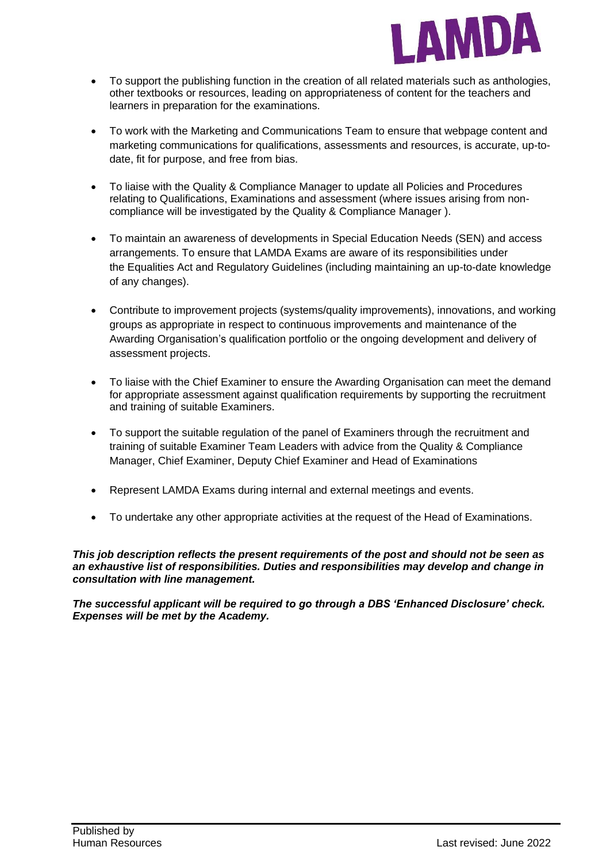

- To support the publishing function in the creation of all related materials such as anthologies, other textbooks or resources, leading on appropriateness of content for the teachers and learners in preparation for the examinations.
- To work with the Marketing and Communications Team to ensure that webpage content and marketing communications for qualifications, assessments and resources, is accurate, up-todate, fit for purpose, and free from bias.
- To liaise with the Quality & Compliance Manager to update all Policies and Procedures relating to Qualifications, Examinations and assessment (where issues arising from noncompliance will be investigated by the Quality & Compliance Manager ).
- To maintain an awareness of developments in Special Education Needs (SEN) and access arrangements. To ensure that LAMDA Exams are aware of its responsibilities under the Equalities Act and Regulatory Guidelines (including maintaining an up-to-date knowledge of any changes).
- Contribute to improvement projects (systems/quality improvements), innovations, and working groups as appropriate in respect to continuous improvements and maintenance of the Awarding Organisation's qualification portfolio or the ongoing development and delivery of assessment projects.
- To liaise with the Chief Examiner to ensure the Awarding Organisation can meet the demand for appropriate assessment against qualification requirements by supporting the recruitment and training of suitable Examiners.
- To support the suitable regulation of the panel of Examiners through the recruitment and training of suitable Examiner Team Leaders with advice from the Quality & Compliance Manager, Chief Examiner, Deputy Chief Examiner and Head of Examinations
- Represent LAMDA Exams during internal and external meetings and events.
- To undertake any other appropriate activities at the request of the Head of Examinations.

*This job description reflects the present requirements of the post and should not be seen as an exhaustive list of responsibilities. Duties and responsibilities may develop and change in consultation with line management.* 

*The successful applicant will be required to go through a DBS 'Enhanced Disclosure' check. Expenses will be met by the Academy.*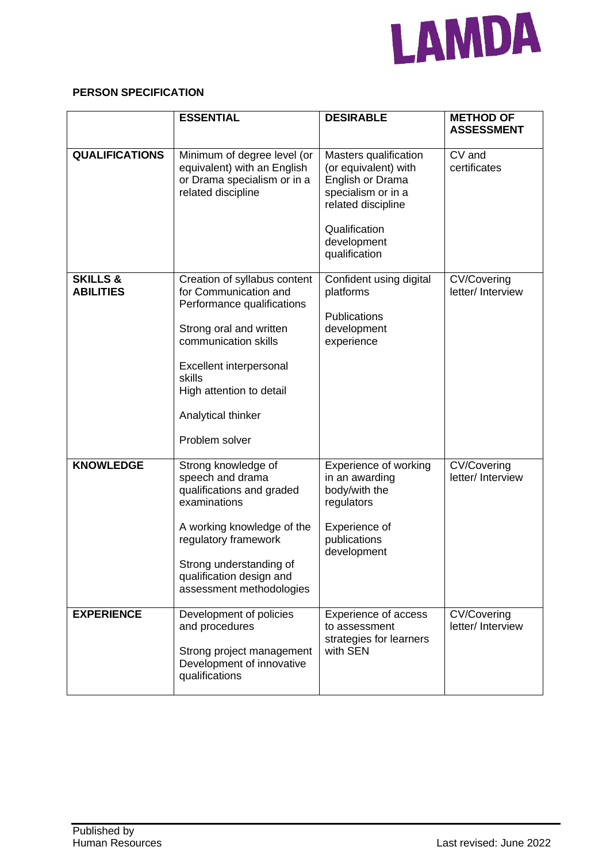

# **PERSON SPECIFICATION**

|                                         | <b>ESSENTIAL</b>                                                                                                                                                                                                                                | <b>DESIRABLE</b>                                                                                                                                               | <b>METHOD OF</b><br><b>ASSESSMENT</b>   |
|-----------------------------------------|-------------------------------------------------------------------------------------------------------------------------------------------------------------------------------------------------------------------------------------------------|----------------------------------------------------------------------------------------------------------------------------------------------------------------|-----------------------------------------|
| <b>QUALIFICATIONS</b>                   | Minimum of degree level (or<br>equivalent) with an English<br>or Drama specialism or in a<br>related discipline                                                                                                                                 | Masters qualification<br>(or equivalent) with<br>English or Drama<br>specialism or in a<br>related discipline<br>Qualification<br>development<br>qualification | CV and<br>certificates                  |
| <b>SKILLS &amp;</b><br><b>ABILITIES</b> | Creation of syllabus content<br>for Communication and<br>Performance qualifications<br>Strong oral and written<br>communication skills<br>Excellent interpersonal<br>skills<br>High attention to detail<br>Analytical thinker<br>Problem solver | Confident using digital<br>platforms<br><b>Publications</b><br>development<br>experience                                                                       | CV/Covering<br>letter/ Interview        |
| <b>KNOWLEDGE</b>                        | Strong knowledge of<br>speech and drama<br>qualifications and graded<br>examinations<br>A working knowledge of the<br>regulatory framework<br>Strong understanding of<br>qualification design and<br>assessment methodologies                   | Experience of working<br>in an awarding<br>body/with the<br>regulators<br>Experience of<br>publications<br>development                                         | <b>CV/Covering</b><br>letter/ Interview |
| <b>EXPERIENCE</b>                       | Development of policies<br>and procedures<br>Strong project management<br>Development of innovative<br>qualifications                                                                                                                           | <b>Experience of access</b><br>to assessment<br>strategies for learners<br>with SEN                                                                            | <b>CV/Covering</b><br>letter/ Interview |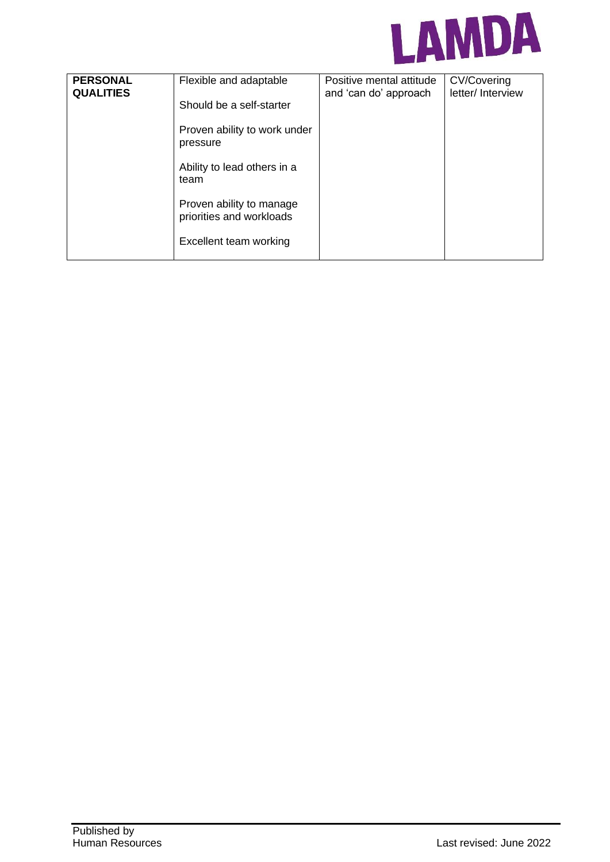

| <b>PERSONAL</b><br><b>QUALITIES</b> | Flexible and adaptable                               | Positive mental attitude<br>and 'can do' approach | <b>CV/Covering</b><br>letter/ Interview |
|-------------------------------------|------------------------------------------------------|---------------------------------------------------|-----------------------------------------|
|                                     | Should be a self-starter                             |                                                   |                                         |
|                                     | Proven ability to work under<br>pressure             |                                                   |                                         |
|                                     | Ability to lead others in a<br>team                  |                                                   |                                         |
|                                     | Proven ability to manage<br>priorities and workloads |                                                   |                                         |
|                                     | Excellent team working                               |                                                   |                                         |
|                                     |                                                      |                                                   |                                         |